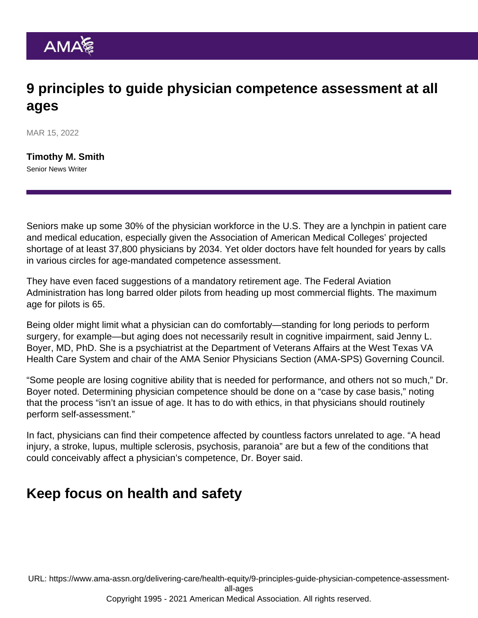## 9 principles to guide physician competence assessment at all ages

MAR 15, 2022

[Timothy M. Smith](https://www.ama-assn.org/news-leadership-viewpoints/authors-news-leadership-viewpoints/timothy-m-smith) Senior News Writer

Seniors make up some 30% of the physician workforce in the U.S. They are a lynchpin in patient care and medical education, especially given the Association of American Medical Colleges' projected shortage of at least 37,800 physicians by 2034. Yet older doctors have felt hounded for years by calls in various circles for age-mandated competence assessment.

They have even faced suggestions of a mandatory retirement age. The Federal Aviation Administration has long barred older pilots from heading up most commercial flights. The maximum age for pilots is 65.

Being older might limit what a physician can do comfortably—standing for long periods to perform surgery, for example—but aging does not necessarily result in cognitive impairment, said [Jenny L.](https://www.ama-assn.org/about/leadership/jenny-boyer-md-jd-phd-providing-care-struggling-veterans) [Boyer, MD, PhD.](https://www.ama-assn.org/about/leadership/jenny-boyer-md-jd-phd-providing-care-struggling-veterans) She is a psychiatrist at the Department of Veterans Affairs at the West Texas VA Health Care System and chair of the [AMA Senior Physicians Section](https://www.ama-assn.org/member-groups-sections/senior-physicians) (AMA-SPS) Governing Council.

"Some people are losing cognitive ability that is needed for performance, and others not so much," Dr. Boyer noted. Determining physician competence should be done on a "case by case basis," noting that the process "isn't an issue of age. It has to do with ethics, in that physicians should routinely perform self-assessment."

In fact, physicians can find their competence affected by countless factors unrelated to age. "A head injury, a stroke, lupus, multiple sclerosis, psychosis, paranoia" are but a few of the conditions that could conceivably affect a physician's competence, Dr. Boyer said.

## Keep focus on health and safety

URL: [https://www.ama-assn.org/delivering-care/health-equity/9-principles-guide-physician-competence-assessment](https://www.ama-assn.org/delivering-care/health-equity/9-principles-guide-physician-competence-assessment-all-ages)[all-ages](https://www.ama-assn.org/delivering-care/health-equity/9-principles-guide-physician-competence-assessment-all-ages) Copyright 1995 - 2021 American Medical Association. All rights reserved.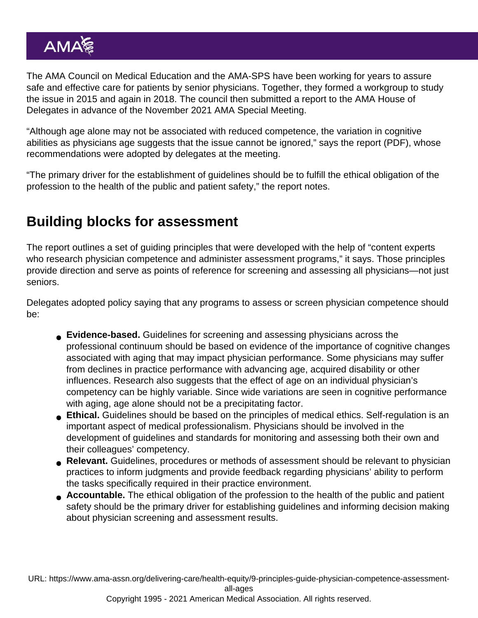The [AMA Council on Medical Education](https://www.ama-assn.org/councils/council-medical-education) and the AMA-SPS have been working for years to assure safe and effective care for patients by senior physicians. Together, they formed a workgroup to study the issue in 2015 and again in 2018. The council then submitted a report to the [AMA House of](https://www.ama-assn.org/house-delegates) [Delegates](https://www.ama-assn.org/house-delegates) in advance of the November 2021 AMA Special Meeting.

"Although age alone may not be associated with reduced competence, the variation in cognitive abilities as physicians age suggests that the issue cannot be ignored," [says the report](https://www.ama-assn.org/system/files/n21-cme-01.pdf) (PDF), whose recommendations were adopted by delegates at the meeting.

"The primary driver for the establishment of guidelines should be to fulfill the ethical obligation of the profession to the health of the public and patient safety," the report notes.

## Building blocks for assessment

The report outlines a set of guiding principles that were developed with the help of "content experts who research physician competence and administer assessment programs," it says. Those principles provide direction and serve as points of reference for screening and assessing all physicians—not just seniors.

Delegates adopted policy saying that any programs to assess or screen physician competence should be:

- Evidence-based. Guidelines for screening and assessing physicians across the professional continuum should be based on evidence of the importance of cognitive changes associated with aging that may impact physician performance. Some physicians may suffer from declines in practice performance with advancing age, acquired disability or other influences. Research also suggests that the effect of age on an individual physician's competency can be highly variable. Since wide variations are seen in cognitive performance with aging, age alone should not be a precipitating factor.
- Ethical. Guidelines should be based on the principles of medical ethics. Self-regulation is an important aspect of medical professionalism. Physicians should be involved in the development of guidelines and standards for monitoring and assessing both their own and their colleagues' competency.
- Relevant. Guidelines, procedures or methods of assessment should be relevant to physician practices to inform judgments and provide feedback regarding physicians' ability to perform the tasks specifically required in their practice environment.
- Accountable. The ethical obligation of the profession to the health of the public and patient safety should be the primary driver for establishing guidelines and informing decision making about physician screening and assessment results.

URL: [https://www.ama-assn.org/delivering-care/health-equity/9-principles-guide-physician-competence-assessment](https://www.ama-assn.org/delivering-care/health-equity/9-principles-guide-physician-competence-assessment-all-ages)[all-ages](https://www.ama-assn.org/delivering-care/health-equity/9-principles-guide-physician-competence-assessment-all-ages)